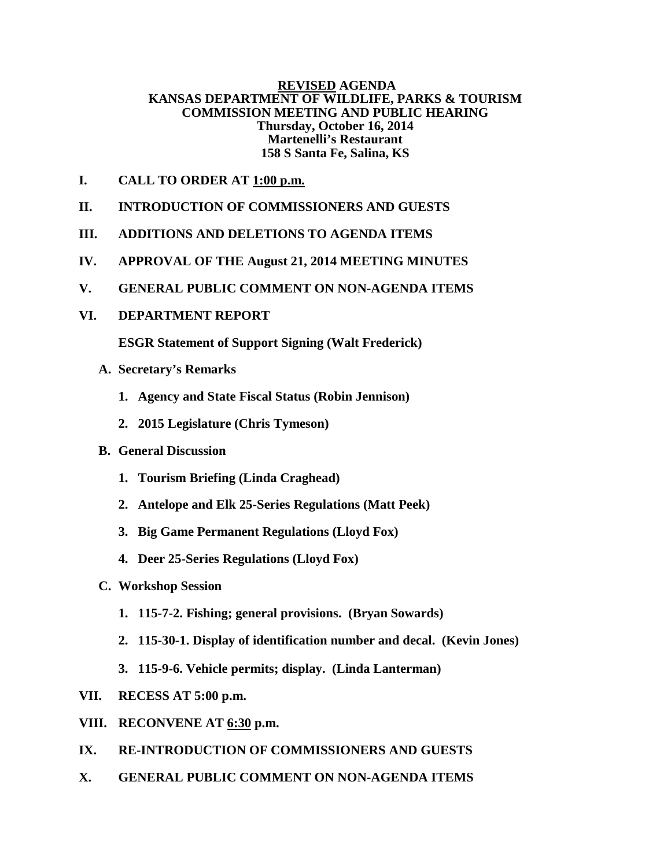# **REVISED AGENDA KANSAS DEPARTMENT OF WILDLIFE, PARKS & TOURISM COMMISSION MEETING AND PUBLIC HEARING Thursday, October 16, 2014 Martenelli's Restaurant 158 S Santa Fe, Salina, KS**

- **I. CALL TO ORDER AT 1:00 p.m.**
- **II. INTRODUCTION OF COMMISSIONERS AND GUESTS**
- **III. ADDITIONS AND DELETIONS TO AGENDA ITEMS**
- **IV. APPROVAL OF THE August 21, 2014 MEETING MINUTES**
- **V. GENERAL PUBLIC COMMENT ON NON-AGENDA ITEMS**
- **VI. DEPARTMENT REPORT**

**ESGR Statement of Support Signing (Walt Frederick)**

- **A. Secretary's Remarks**
	- **1. Agency and State Fiscal Status (Robin Jennison)**
	- **2. 2015 Legislature (Chris Tymeson)**
- **B. General Discussion** 
	- **1. Tourism Briefing (Linda Craghead)**
	- **2. Antelope and Elk 25-Series Regulations (Matt Peek)**
	- **3. Big Game Permanent Regulations (Lloyd Fox)**
	- **4. Deer 25-Series Regulations (Lloyd Fox)**
- **C. Workshop Session** 
	- **1. 115-7-2. Fishing; general provisions. (Bryan Sowards)**
	- **2. 115-30-1. Display of identification number and decal. (Kevin Jones)**
	- **3. 115-9-6. Vehicle permits; display. (Linda Lanterman)**
- **VII. RECESS AT 5:00 p.m.**
- **VIII. RECONVENE AT 6:30 p.m.**
- **IX. RE-INTRODUCTION OF COMMISSIONERS AND GUESTS**
- **X. GENERAL PUBLIC COMMENT ON NON-AGENDA ITEMS**